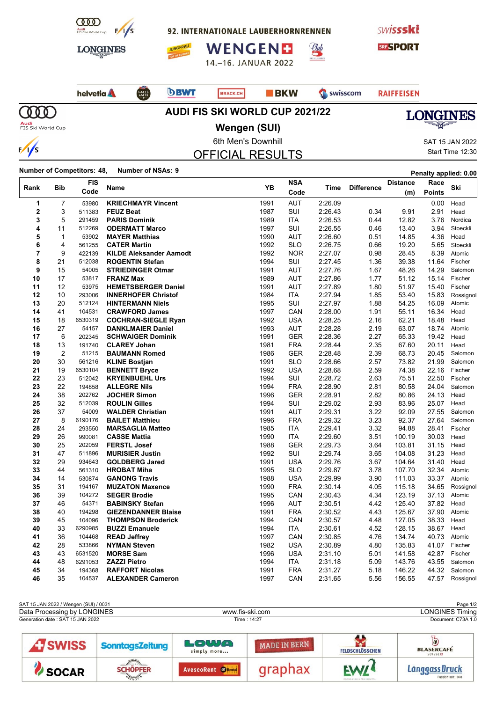

92. INTERNATIONALE LAUBERHORNRENNEN







CAFFÈ



helvetia A  $\Omega$ 

**DBWT** BRACK.CH

**BKW** Swisscom

<u>Club</u>

**RAIFFEISEN** 

**Audi**<br>FIS Ski World Cup

SOCAR

MAINGY-

 $\frac{1}{s}$ 

## **Wengen (SUI)**

**AUDI FIS SKI WORLD CUP 2021/22**



6th Men's Downhill Gas and SAT 15 JAN 2022

OFFICIAL RESULTS

Start Time 12:30

Passion seit 1878

**Number of Competitors: 48, Number of NSAs: <sup>9</sup> Penalty applied: 0.00**

|             |                | FIS                |                                               | YB           | <b>NSA</b>               |                    |                   | Distance         | Race           | Ski                |
|-------------|----------------|--------------------|-----------------------------------------------|--------------|--------------------------|--------------------|-------------------|------------------|----------------|--------------------|
| Rank        | <b>Bib</b>     | Code               | Name                                          |              | Code                     | Time               | <b>Difference</b> | (m)              | <b>Points</b>  |                    |
| 1           | 7              | 53980              | <b>KRIECHMAYR Vincent</b>                     | 1991         | <b>AUT</b>               | 2:26.09            |                   |                  | 0.00           | Head               |
| $\mathbf 2$ | 3              | 511383             | <b>FEUZ Beat</b>                              | 1987         | SUI                      | 2:26.43            | 0.34              | 9.91             | 2.91           | Head               |
| 3           | 5              | 291459             | <b>PARIS Dominik</b>                          | 1989         | <b>ITA</b>               | 2:26.53            | 0.44              | 12.82            | 3.76           | Nordica            |
| 4           | 11             | 512269             | <b>ODERMATT Marco</b>                         | 1997         | SUI                      | 2:26.55            | 0.46              | 13.40            | 3.94           | Stoeckli           |
| 5           | $\mathbf 1$    | 53902              | <b>MAYER Matthias</b>                         | 1990         | <b>AUT</b>               | 2:26.60            | 0.51              | 14.85            | 4.36           | Head               |
| 6           | 4              | 561255             | <b>CATER Martin</b>                           | 1992         | <b>SLO</b>               | 2:26.75            | 0.66              | 19.20            | 5.65           | Stoeckli           |
| 7           | 9              | 422139             | <b>KILDE Aleksander Aamodt</b>                | 1992         | <b>NOR</b>               | 2:27.07            | 0.98              | 28.45            | 8.39           | Atomic             |
| 8           | 21             | 512038             | <b>ROGENTIN Stefan</b>                        | 1994         | SUI                      | 2:27.45            | 1.36              | 39.38            | 11.64          | Fischer            |
| 9           | 15             | 54005              | <b>STRIEDINGER Otmar</b>                      | 1991         | <b>AUT</b>               | 2:27.76            | 1.67              | 48.26            | 14.29          | Salomon            |
| 10          | 17             | 53817              | <b>FRANZ Max</b>                              | 1989         | <b>AUT</b>               | 2:27.86            | 1.77              | 51.12            | 15.14          | Fischer            |
| 11          | 12             | 53975              | <b>HEMETSBERGER Daniel</b>                    | 1991         | <b>AUT</b>               | 2:27.89            | 1.80              | 51.97            | 15.40          | Fischer            |
| 12          | 10             | 293006             | <b>INNERHOFER Christof</b>                    | 1984         | <b>ITA</b>               | 2:27.94            | 1.85              | 53.40            | 15.83          | Rossignol          |
| 13          | 20             | 512124             | <b>HINTERMANN Niels</b>                       | 1995         | SUI                      | 2:27.97            | 1.88              | 54.25            | 16.09          | Atomic             |
| 14          | 41             | 104531             | <b>CRAWFORD James</b>                         | 1997         | CAN                      | 2:28.00            | 1.91              | 55.11            | 16.34          | Head               |
| 15          | 18             | 6530319            | <b>COCHRAN-SIEGLE Ryan</b>                    | 1992         | <b>USA</b>               | 2:28.25            | 2.16              | 62.21            | 18.48          | Head               |
| 16          | 27             | 54157              | <b>DANKLMAIER Daniel</b>                      | 1993         | <b>AUT</b>               | 2:28.28            | 2.19              | 63.07            | 18.74          | Atomic             |
| 17          | 6              | 202345             | <b>SCHWAIGER Dominik</b>                      | 1991         | <b>GER</b>               | 2:28.36            | 2.27              | 65.33            | 19.42          | Head               |
| 18          | 13             | 191740             | <b>CLAREY Johan</b>                           | 1981         | <b>FRA</b>               | 2:28.44            | 2.35              | 67.60            | 20.11          | Head               |
| 19          | $\overline{2}$ | 51215              | <b>BAUMANN Romed</b>                          | 1986         | <b>GER</b>               | 2:28.48            | 2.39              | 68.73            | 20.45          | Salomon            |
| 20          | 30             | 561216             | <b>KLINE Bostjan</b>                          | 1991         | <b>SLO</b>               | 2:28.66            | 2.57              | 73.82            | 21.99          | Salomon            |
| 21          | 19             | 6530104            | <b>BENNETT Bryce</b>                          | 1992         | <b>USA</b>               | 2:28.68            | 2.59              | 74.38            | 22.16          | Fischer            |
| 22          | 23             | 512042             | <b>KRYENBUEHL Urs</b>                         | 1994         | SUI                      | 2:28.72            | 2.63              | 75.51            | 22.50          | Fischer            |
| 23          | 22             | 194858             | <b>ALLEGRE Nils</b>                           | 1994         | <b>FRA</b>               | 2:28.90            | 2.81              | 80.58            | 24.04          | Salomon            |
| 24          | 38             | 202762             | <b>JOCHER Simon</b>                           | 1996         | <b>GER</b>               | 2:28.91            | 2.82              | 80.86            | 24.13          | Head               |
| 25          | 32             | 512039             | <b>ROULIN Gilles</b>                          | 1994         | SUI                      | 2:29.02            | 2.93              | 83.96            | 25.07          | Head               |
| 26          | 37             | 54009              | <b>WALDER Christian</b>                       | 1991         | <b>AUT</b>               | 2:29.31            | 3.22              | 92.09            | 27.55          | Salomon            |
| 27          | 8              | 6190176            | <b>BAILET Matthieu</b>                        | 1996         | <b>FRA</b>               | 2:29.32            | 3.23              | 92.37            | 27.64          | Salomon            |
| 28          | 24             | 293550             | <b>MARSAGLIA Matteo</b>                       | 1985         | ITA                      | 2:29.41            | 3.32              | 94.88            | 28.41          | Fischer            |
| 29          | 26             | 990081             | <b>CASSE Mattia</b>                           | 1990         | <b>ITA</b>               | 2:29.60            | 3.51              | 100.19           | 30.03          | Head               |
| 30          | 25             | 202059             | <b>FERSTL Josef</b>                           | 1988         | <b>GER</b>               | 2:29.73            | 3.64              | 103.81           | 31.15          | Head               |
| 31          | 47             | 511896             | <b>MURISIER Justin</b>                        | 1992         | SUI                      | 2:29.74            | 3.65              | 104.08           | 31.23          | Head               |
| 32          | 29             | 934643             | <b>GOLDBERG Jared</b>                         | 1991         | <b>USA</b>               | 2:29.76            | 3.67              | 104.64           | 31.40          | Head               |
| 33          | 44             | 561310             | <b>HROBAT Miha</b>                            | 1995         | <b>SLO</b>               | 2:29.87            | 3.78              | 107.70           | 32.34          | Atomic             |
| 34          | 14             | 530874             | <b>GANONG Travis</b>                          | 1988         | <b>USA</b>               | 2:29.99            | 3.90              | 111.03           | 33.37          | Atomic             |
| 35          | 31             | 194167             | <b>MUZATON Maxence</b>                        | 1990         | <b>FRA</b>               | 2:30.14            | 4.05              | 115.18           | 34.65          | Rossignol          |
| 36          | 39             | 104272             | <b>SEGER Brodie</b>                           | 1995         | CAN                      | 2:30.43            | 4.34              | 123.19           | 37.13          | Atomic             |
| 37          | 46             | 54371              | <b>BABINSKY Stefan</b>                        | 1996         | <b>AUT</b>               | 2:30.51            | 4.42              | 125.40           | 37.82          | Head               |
| 38          | 40             | 194298             | <b>GIEZENDANNER Blaise</b>                    | 1991         | <b>FRA</b>               | 2:30.52            | 4.43              | 125.67           | 37.90          | Atomic             |
| 39          | 45             | 104096             | <b>THOMPSON Broderick</b>                     | 1994         | CAN                      | 2:30.57            | 4.48              | 127.05           | 38.33          | Head               |
| 40          | 33             | 6290985            | <b>BUZZI Emanuele</b>                         | 1994         | <b>ITA</b>               | 2:30.61            | 4.52              | 128.15           | 38.67          | Head               |
| 41          | 36             | 104468             | <b>READ Jeffrey</b>                           | 1997         | CAN                      | 2:30.85            | 4.76              | 134.74           | 40.73          | Atomic             |
| 42          | 28             | 533866             | <b>NYMAN Steven</b>                           | 1982         | <b>USA</b>               | 2:30.89            | 4.80              | 135.83           | 41.07          | Fischer            |
| 43<br>44    | 43<br>48       | 6531520<br>6291053 | <b>MORSE Sam</b>                              | 1996         | <b>USA</b>               | 2:31.10            | 5.01              | 141.58           | 42.87          | Fischer            |
| 45          | 34             | 194368             | <b>ZAZZI Pietro</b><br><b>RAFFORT Nicolas</b> | 1994<br>1991 | <b>ITA</b><br><b>FRA</b> | 2:31.18<br>2:31.27 | 5.09<br>5.18      | 143.76<br>146.22 | 43.55<br>44.32 | Salomon<br>Salomon |
| 46          | 35             |                    |                                               |              |                          |                    |                   |                  |                |                    |
|             |                | 104537             | <b>ALEXANDER Cameron</b>                      | 1997         | CAN                      | 2:31.65            | 5.56              | 156.55           | 47.57          | Rossignol          |

| <b>SOCAR</b>                          | <b>SCHOPFER</b>        | AvescoRent <b>Contrast</b> | graphax             | <b>EWI!</b>            | Länggass Druck<br>Photo in the contract of the state of the con-   |  |  |
|---------------------------------------|------------------------|----------------------------|---------------------|------------------------|--------------------------------------------------------------------|--|--|
| <b>AT SWISS</b>                       | <b>SonntagsZeitung</b> | LOWA<br>simply more        | <b>MADE IN BERN</b> | <b>FELDSCHLÖSSCHEN</b> | $\overline{\boldsymbol{o}}$<br><b>BLASERCAFÉ</b><br><b>SUISSED</b> |  |  |
| Generation date: SAT 15 JAN 2022      |                        |                            | Time: 14:27         | Document: C73A 1.0     |                                                                    |  |  |
| Data Processing by LONGINES           |                        | www.fis-ski.com            |                     | <b>LONGINES Timing</b> |                                                                    |  |  |
| SAT 15 JAN 2022 / Wengen (SUI) / 0031 |                        |                            |                     |                        | Page 1/2                                                           |  |  |